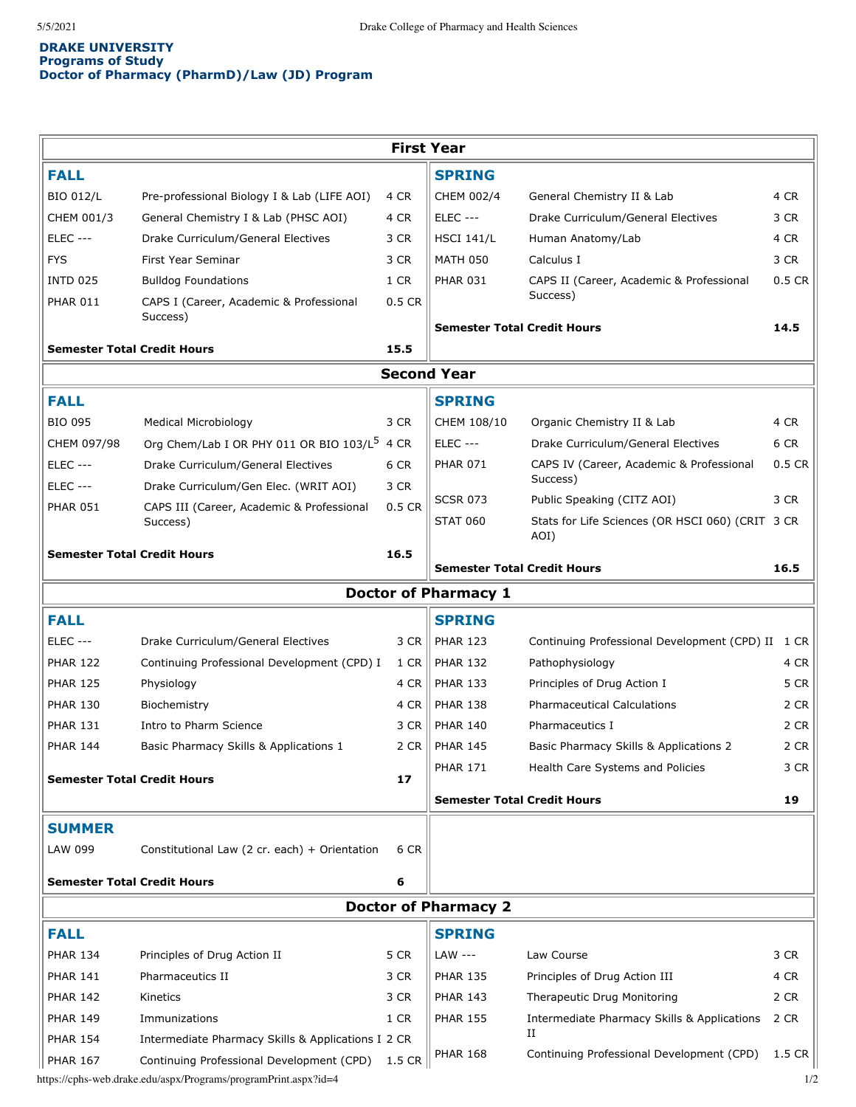## **DRAKE UNIVERSITY Programs of Study Doctor of Pharmacy (PharmD)/Law (JD) Program**

| <b>First Year</b>                       |                                                                 |          |                                    |                                                          |                            |
|-----------------------------------------|-----------------------------------------------------------------|----------|------------------------------------|----------------------------------------------------------|----------------------------|
| <b>FALL</b>                             |                                                                 |          | <b>SPRING</b>                      |                                                          |                            |
| <b>BIO 012/L</b>                        | Pre-professional Biology I & Lab (LIFE AOI)                     | 4 CR     | CHEM 002/4                         | General Chemistry II & Lab                               | 4 CR                       |
| CHEM 001/3                              | General Chemistry I & Lab (PHSC AOI)                            | 4 CR     | <b>ELEC ---</b>                    | Drake Curriculum/General Electives                       | 3 CR                       |
| <b>ELEC ---</b>                         | Drake Curriculum/General Electives                              | 3 CR     | <b>HSCI 141/L</b>                  | Human Anatomy/Lab                                        | 4 CR                       |
| <b>FYS</b>                              | First Year Seminar                                              | 3 CR     | <b>MATH 050</b>                    | Calculus I                                               | 3 CR                       |
| <b>INTD 025</b>                         | <b>Bulldog Foundations</b>                                      | 1 CR     | <b>PHAR 031</b>                    | CAPS II (Career, Academic & Professional                 | $0.5$ CR                   |
| <b>PHAR 011</b>                         | CAPS I (Career, Academic & Professional                         | 0.5 CR   |                                    | Success)                                                 |                            |
|                                         | Success)                                                        |          | <b>Semester Total Credit Hours</b> |                                                          | 14.5                       |
| <b>Semester Total Credit Hours</b>      |                                                                 | 15.5     |                                    |                                                          |                            |
| <b>Second Year</b>                      |                                                                 |          |                                    |                                                          |                            |
| <b>FALL</b>                             |                                                                 |          | <b>SPRING</b>                      |                                                          |                            |
| <b>BIO 095</b>                          | Medical Microbiology                                            | 3 CR     | CHEM 108/10                        | Organic Chemistry II & Lab                               | 4 CR                       |
| CHEM 097/98                             | Org Chem/Lab I OR PHY 011 OR BIO 103/L <sup>5</sup>             | 4 CR     | <b>ELEC ---</b>                    | Drake Curriculum/General Electives                       | 6 CR                       |
| <b>ELEC ---</b>                         | Drake Curriculum/General Electives                              | 6 CR     | <b>PHAR 071</b>                    | CAPS IV (Career, Academic & Professional                 | $0.5$ CR                   |
| <b>ELEC ---</b>                         | Drake Curriculum/Gen Elec. (WRIT AOI)                           | 3 CR     |                                    | Success)                                                 |                            |
| <b>PHAR 051</b>                         | CAPS III (Career, Academic & Professional                       | $0.5$ CR | <b>SCSR 073</b>                    | Public Speaking (CITZ AOI)                               | 3 CR                       |
|                                         | Success)                                                        |          | <b>STAT 060</b>                    | Stats for Life Sciences (OR HSCI 060) (CRIT 3 CR<br>AOI) |                            |
| <b>Semester Total Credit Hours</b>      |                                                                 | 16.5     | <b>Semester Total Credit Hours</b> |                                                          | 16.5                       |
| <b>Doctor of Pharmacy 1</b>             |                                                                 |          |                                    |                                                          |                            |
| <b>FALL</b>                             |                                                                 |          | <b>SPRING</b>                      |                                                          |                            |
| <b>ELEC ---</b>                         | Drake Curriculum/General Electives                              | 3 CR     | <b>PHAR 123</b>                    | Continuing Professional Development (CPD) II 1 CR        |                            |
| <b>PHAR 122</b>                         | Continuing Professional Development (CPD) I                     | 1 CR     | <b>PHAR 132</b>                    | Pathophysiology                                          | 4 CR                       |
| <b>PHAR 125</b>                         | Physiology                                                      | 4 CR     | <b>PHAR 133</b>                    | Principles of Drug Action I                              | 5 CR                       |
| <b>PHAR 130</b>                         | Biochemistry                                                    | 4 CR     | <b>PHAR 138</b>                    | <b>Pharmaceutical Calculations</b>                       | 2 CR                       |
| <b>PHAR 131</b>                         | Intro to Pharm Science                                          | 3 CR     | <b>PHAR 140</b>                    | Pharmaceutics I                                          | 2 CR                       |
| <b>PHAR 144</b>                         | Basic Pharmacy Skills & Applications 1                          | 2 CR     | <b>PHAR 145</b>                    | Basic Pharmacy Skills & Applications 2                   | 2 CR                       |
|                                         |                                                                 |          | <b>PHAR 171</b>                    | Health Care Systems and Policies                         | 3 CR                       |
| <b>Semester Total Credit Hours</b>      |                                                                 | 17       |                                    |                                                          |                            |
|                                         |                                                                 |          | <b>Semester Total Credit Hours</b> |                                                          | 19                         |
| <b>SUMMER</b>                           |                                                                 |          |                                    |                                                          |                            |
| LAW 099                                 | Constitutional Law (2 cr. each) + Orientation                   | 6 CR     |                                    |                                                          |                            |
| <b>Semester Total Credit Hours</b><br>6 |                                                                 |          |                                    |                                                          |                            |
| <b>Doctor of Pharmacy 2</b>             |                                                                 |          |                                    |                                                          |                            |
| <b>FALL</b>                             |                                                                 |          | <b>SPRING</b>                      |                                                          |                            |
| <b>PHAR 134</b>                         | Principles of Drug Action II                                    | 5 CR     | LAW ---                            | Law Course                                               | 3 CR                       |
| <b>PHAR 141</b>                         | Pharmaceutics II                                                | 3 CR     | <b>PHAR 135</b>                    | Principles of Drug Action III                            | 4 CR                       |
| <b>PHAR 142</b>                         | Kinetics                                                        | 3 CR     | <b>PHAR 143</b>                    | Therapeutic Drug Monitoring                              | 2 CR                       |
| <b>PHAR 149</b>                         | Immunizations                                                   | 1 CR     | <b>PHAR 155</b>                    | Intermediate Pharmacy Skills & Applications              | 2 CR                       |
| <b>PHAR 154</b>                         | Intermediate Pharmacy Skills & Applications I 2 CR              |          |                                    | п                                                        |                            |
| <b>PHAR 167</b>                         | Continuing Professional Development (CPD)                       | 1.5 CR   | <b>PHAR 168</b>                    | Continuing Professional Development (CPD)                | $1.5 \text{ } \mathsf{CR}$ |
|                                         | https://cphs-web.drake.edu/aspx/Programs/programPrint.aspx?id=4 |          |                                    |                                                          | 1/2                        |